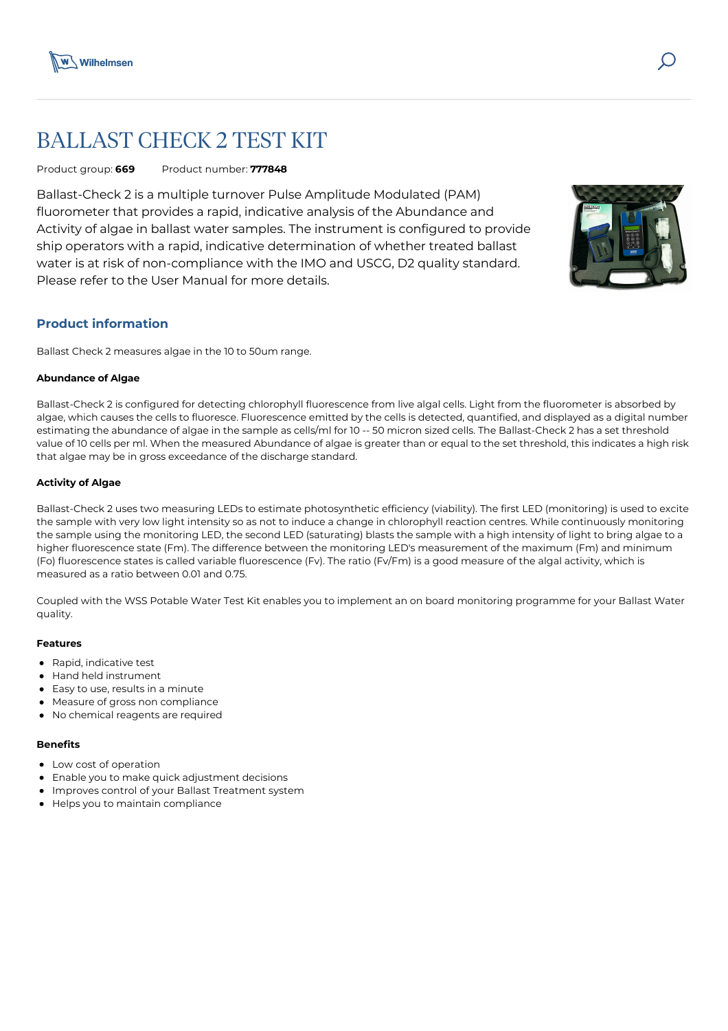

# BALLAST CHECK 2 TEST KIT

Product group: **669** Product number: **777848**

Ballast-Check 2 is a multiple turnover Pulse Amplitude Modulated (PAM) fluorometer that provides a rapid, indicative analysis of the Abundance and Activity of algae in ballast water samples. The instrument is configured to provide ship operators with a rapid, indicative determination of whether treated ballast water is at risk of non-compliance with the IMO and USCG, D2 quality standard. Please refer to the User Manual for more details.



# **Product information**

Ballast Check 2 measures algae in the 10 to 50um range.

## **Abundance of Algae**

Ballast-Check 2 is configured for detecting chlorophyll fluorescence from live algal cells. Light from the fluorometer is absorbed by algae, which causes the cells to fluoresce. Fluorescence emitted by the cells is detected, quantified, and displayed as a digital number estimating the abundance of algae in the sample as cells/ml for 10 -- 50 micron sized cells. The Ballast-Check 2 has a set threshold value of 10 cells per ml. When the measured Abundance of algae is greater than or equal to the set threshold, this indicates a high risk that algae may be in gross exceedance of the discharge standard.

## **Activity of Algae**

Ballast-Check 2 uses two measuring LEDs to estimate photosynthetic efficiency (viability). The first LED (monitoring) is used to excite the sample with very low light intensity so as not to induce a change in chlorophyll reaction centres. While continuously monitoring the sample using the monitoring LED, the second LED (saturating) blasts the sample with a high intensity of light to bring algae to a higher fluorescence state (Fm). The difference between the monitoring LED's measurement of the maximum (Fm) and minimum (Fo) fluorescence states is called variable fluorescence (Fv). The ratio (Fv/Fm) is a good measure of the algal activity, which is measured as a ratio between 0.01 and 0.75.

Coupled with the WSS Potable Water Test Kit enables you to implement an on board monitoring programme for your Ballast Water quality.

#### **Features**

- Rapid, indicative test
- Hand held instrument
- Easy to use, results in a minute
- Measure of gross non compliance
- No chemical reagents are required

#### **Benefits**

- Low cost of operation
- Enable you to make quick adjustment decisions
- Improves control of your Ballast Treatment system
- Helps you to maintain compliance  $\bullet$